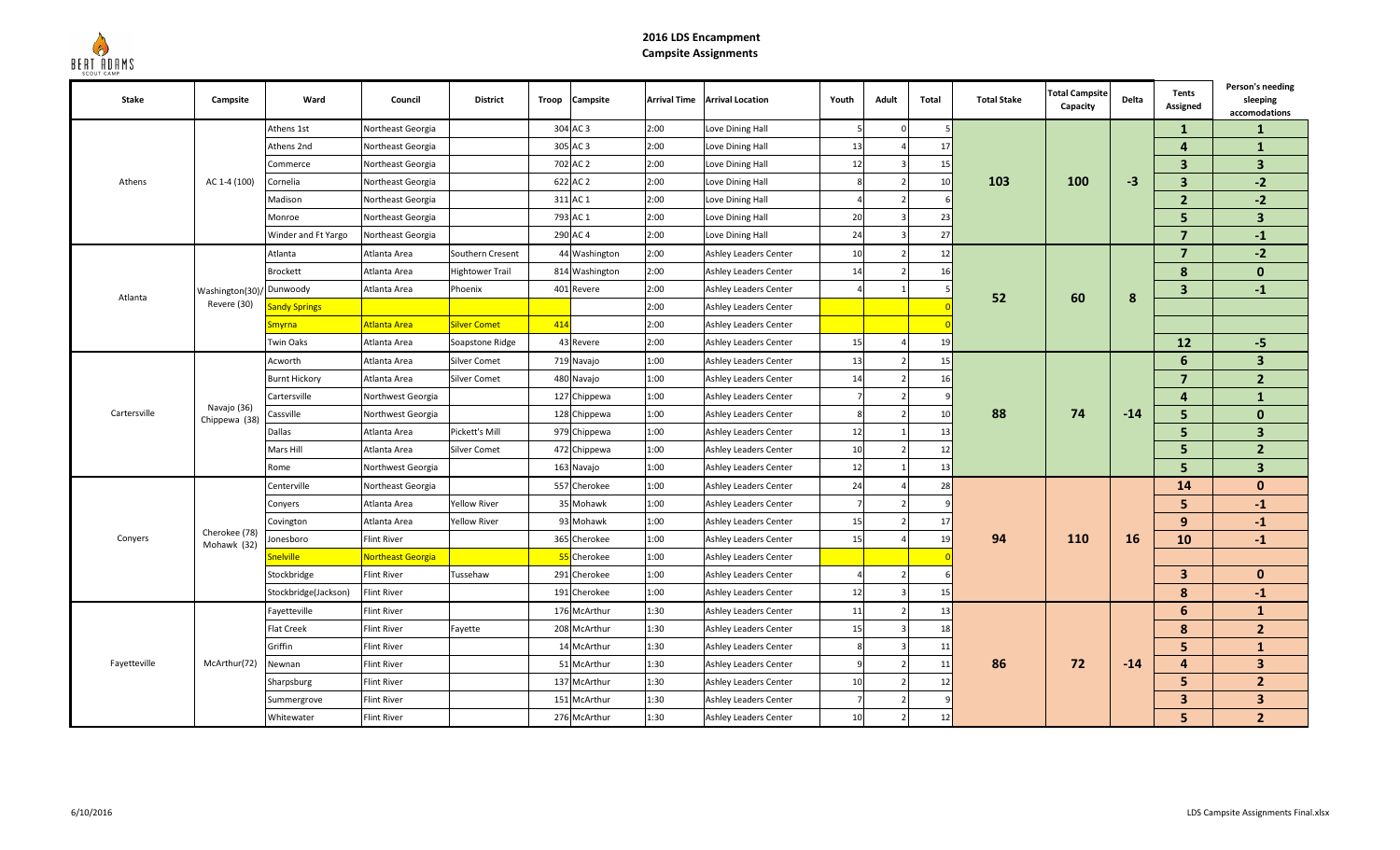

## **2016 LDS EncampmentCampsite Assignments**

| Stake        | Campsite                     | Ward                 | Council                  | <b>District</b>        | Troop | Campsite       | <b>Arrival Time</b> | <b>Arrival Location</b>      | Youth          | Adult          | Total         | <b>Total Stake</b> | <b>Total Campsite</b><br>Capacity | Delta     | Tents<br>Assigned       | Person's needing<br>sleeping<br>accomodations |
|--------------|------------------------------|----------------------|--------------------------|------------------------|-------|----------------|---------------------|------------------------------|----------------|----------------|---------------|--------------------|-----------------------------------|-----------|-------------------------|-----------------------------------------------|
| Athens       |                              | Athens 1st           | Northeast Georgia        |                        |       | 304 AC 3       | 2:00                | Love Dining Hall             | -5             | $\Omega$       |               |                    |                                   |           | $\mathbf{1}$            | 1                                             |
|              | AC 1-4 (100)                 | Athens 2nd           | Northeast Georgia        |                        |       | 305 AC 3       | 2:00                | Love Dining Hall             | 13             |                | 17            |                    |                                   |           | $\overline{4}$          | $\mathbf{1}$                                  |
|              |                              | Commerce             | Northeast Georgia        |                        |       | 702 AC 2       | 2:00                | Love Dining Hall             | 12             |                | 15            |                    |                                   |           | $\overline{\mathbf{3}}$ | $\overline{\mathbf{3}}$                       |
|              |                              | Cornelia             | Northeast Georgia        |                        |       | 622 AC 2       | 2:00                | Love Dining Hall             |                |                | 10            | 103                | 100                               | $-3$      | $\overline{\mathbf{3}}$ | $-2$                                          |
|              |                              | Madison              | Northeast Georgia        |                        |       | 311 AC 1       | 2:00                | Love Dining Hall             |                |                |               |                    |                                   |           | $\overline{2}$          | $-2$                                          |
|              |                              | Monroe               | Northeast Georgia        |                        |       | 793 AC 1       | 2:00                | Love Dining Hall             | 20             |                | -23           |                    |                                   |           | 5                       | 3                                             |
|              |                              | Winder and Ft Yargo  | Northeast Georgia        |                        |       | 290 AC 4       | 2:00                | Love Dining Hall             | 24             |                | 27            |                    |                                   |           | $\overline{7}$          | $-1$                                          |
|              |                              | Atlanta              | Atlanta Area             | Southern Cresent       |       | 44 Washington  | 2:00                | Ashley Leaders Center        | 10             |                | 12            |                    |                                   |           | $\overline{7}$          | $-2$                                          |
|              |                              | <b>Brockett</b>      | Atlanta Area             | <b>Hightower Trail</b> |       | 814 Washington | 2:00                | Ashley Leaders Center        | 14             |                | 16            | 52                 | 60                                |           | 8                       | $\mathbf{0}$                                  |
| Atlanta      | Washington(30)               | / Dunwoody           | Atlanta Area             | Phoenix                |       | 401 Revere     | 2:00                | Ashley Leaders Center        |                |                |               |                    |                                   | 8         | $\overline{\mathbf{3}}$ | $-1$                                          |
|              | Revere (30)                  | <b>Sandy Springs</b> |                          |                        |       |                | 2:00                | Ashley Leaders Center        |                |                |               |                    |                                   |           |                         |                                               |
|              |                              | <b>Smyrna</b>        | Atlanta Area             | Silver Comet           | 414   |                | 2:00                | Ashley Leaders Center        |                |                |               |                    |                                   |           |                         |                                               |
|              |                              | <b>Twin Oaks</b>     | Atlanta Area             | Soapstone Ridge        |       | 43 Revere      | 2:00                | Ashley Leaders Center        | 15             |                | 19            |                    |                                   |           | 12                      | $-5$                                          |
|              | Navajo (36)<br>Chippewa (38) | Acworth              | Atlanta Area             | Silver Comet           |       | 719 Navajo     | 1:00                | Ashley Leaders Center        | 13             |                | 15            |                    | 74                                |           | 6                       | $\overline{\mathbf{3}}$                       |
| Cartersville |                              | <b>Burnt Hickory</b> | Atlanta Area             | Silver Comet           |       | 480 Navajo     | 1:00                | Ashley Leaders Center        | 14             |                | 16            |                    |                                   |           | $\overline{7}$          | $\overline{2}$                                |
|              |                              | Cartersville         | Northwest Georgia        |                        |       | 127 Chippewa   | 1:00                | Ashley Leaders Center        |                |                |               |                    |                                   | $-14$     | 4                       | $\mathbf{1}$                                  |
|              |                              | Cassville            | Northwest Georgia        |                        |       | 128 Chippewa   | 1:00                | Ashley Leaders Center        | $\mathbf{g}$   |                | 10            | 88                 |                                   |           | 5                       | $\mathbf{0}$                                  |
|              |                              | Dallas               | Atlanta Area             | Pickett's Mill         |       | 979 Chippewa   | 1:00                | Ashley Leaders Center        | 12             |                | 13            |                    |                                   |           | 5                       | $\overline{3}$                                |
|              |                              | Mars Hill            | Atlanta Area             | Silver Comet           |       | 472 Chippewa   | 1:00                | Ashley Leaders Center        | 10             |                | 12            |                    |                                   |           | 5                       | $\overline{2}$                                |
|              |                              | Rome                 | Northwest Georgia        |                        |       | 163 Navajo     | 1:00                | Ashley Leaders Center        | 12             |                | 13            |                    |                                   |           | 5                       | $\overline{3}$                                |
|              |                              | Centerville          | Northeast Georgia        |                        |       | 557 Cherokee   | 1:00                | Ashley Leaders Center        | 24             |                | 28            |                    |                                   |           | 14                      | $\mathbf{0}$                                  |
|              |                              | Conyers              | Atlanta Area             | Yellow River           |       | 35 Mohawk      | 1:00                | Ashley Leaders Center        |                |                |               | 94                 | <b>110</b>                        |           | 5 <sup>5</sup>          | $-1$                                          |
|              |                              | Covington            | Atlanta Area             | <b>Yellow River</b>    |       | 93 Mohawk      | 1:00                | Ashley Leaders Center        | 15             |                | 17            |                    |                                   |           | 9                       | $-1$                                          |
| Conyers      | Cherokee (78)<br>Mohawk (32) | Jonesboro            | Flint River              |                        |       | 365 Cherokee   | 1:00                | Ashley Leaders Center        | 15             |                | 19            |                    |                                   | <b>16</b> | 10                      | $-1$                                          |
|              |                              | Snelville            | <b>Northeast Georgia</b> |                        |       | 55 Cherokee    | 1:00                | Ashley Leaders Center        |                |                |               |                    |                                   |           |                         |                                               |
|              |                              | Stockbridge          | Flint River              | Tussehaw               |       | 291 Cherokee   | 1:00                | Ashley Leaders Center        |                |                |               |                    |                                   |           | $\mathbf{3}$            | $\mathbf{0}$                                  |
|              |                              | Stockbridge(Jackson) | <b>Flint River</b>       |                        |       | 191 Cherokee   | 1:00                | Ashley Leaders Center        | 12             |                | 15            |                    |                                   |           | 8                       | $-1$                                          |
| Fayetteville |                              | Fayetteville         | Flint River              |                        |       | 176 McArthur   | 1:30                | <b>Ashley Leaders Center</b> | 11             |                | 13            |                    |                                   |           | 6                       | $\mathbf{1}$                                  |
|              | McArthur(72)                 | <b>Flat Creek</b>    | Flint River              | Fayette                |       | 208 McArthur   | 1:30                | Ashley Leaders Center        | 15             |                | 18            | 86                 |                                   | $-14$     | 8                       | 2 <sup>2</sup>                                |
|              |                              | Griffin              | Flint River              |                        |       | 14 McArthur    | 1:30                | Ashley Leaders Center        | 8              |                | 11            |                    |                                   |           | 5                       | $\mathbf{1}$                                  |
|              |                              | Newnan               | Flint River              |                        |       | 51 McArthur    | 1:30                | Ashley Leaders Center        |                |                | 11            |                    | 72                                |           | $\overline{\mathbf{4}}$ | $\overline{\mathbf{3}}$                       |
|              |                              | Sharpsburg           | <b>Flint River</b>       |                        |       | 137 McArthur   | 1:30                | Ashley Leaders Center        | 10             |                | $12 \text{ }$ |                    |                                   |           | 5                       | $\overline{2}$                                |
|              |                              | Summergrove          | <b>Flint River</b>       |                        |       | 151 McArthur   | 1:30                | Ashley Leaders Center        | $\overline{7}$ | $\overline{z}$ |               |                    |                                   |           | $\overline{\mathbf{3}}$ | $\overline{\mathbf{3}}$                       |
|              |                              | Whitewater           | <b>Flint River</b>       |                        |       | 276 McArthur   | 1:30                | Ashley Leaders Center        | 10             |                | 12            |                    |                                   |           | 5                       | $\overline{2}$                                |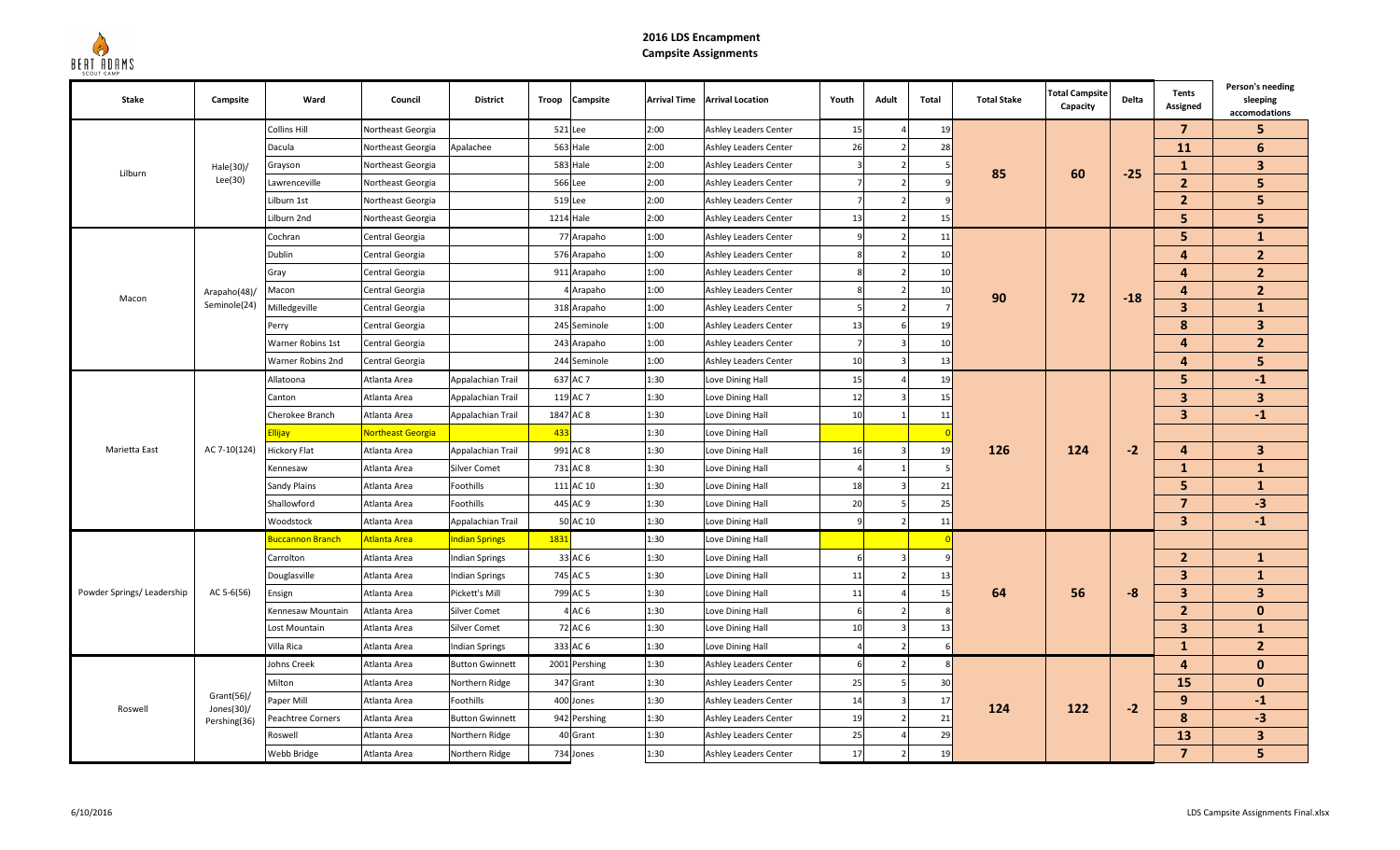

## **2016 LDS EncampmentCampsite Assignments**

| <b>Stake</b>              | Campsite                                     | Ward                    | Council                  | <b>District</b>        | Troop | Campsite        | <b>Arrival Time</b> | <b>Arrival Location</b>      | Youth | Adult | <b>Total</b>   | <b>Total Stake</b> | <b>Total Campsite</b><br>Capacity | Delta | Tents<br>Assigned       | Person's needing<br>sleeping<br>accomodations |
|---------------------------|----------------------------------------------|-------------------------|--------------------------|------------------------|-------|-----------------|---------------------|------------------------------|-------|-------|----------------|--------------------|-----------------------------------|-------|-------------------------|-----------------------------------------------|
| Lilburn                   |                                              | <b>Collins Hill</b>     | Northeast Georgia        |                        |       | 521 Lee         | 2:00                | <b>Ashley Leaders Center</b> | 15    |       | 19             |                    |                                   |       | $\overline{7}$          | 5                                             |
|                           | Hale(30)/<br>Lee(30)                         | Dacula                  | Northeast Georgia        | Apalachee              |       | 563 Hale        | 2:00                | Ashley Leaders Center        | 26    |       | 28             |                    |                                   |       | 11                      | 6                                             |
|                           |                                              | Grayson                 | Northeast Georgia        |                        |       | 583 Hale        | 2:00                | Ashley Leaders Center        |       |       |                | 85                 | 60                                | $-25$ | $\mathbf{1}$            | $\mathbf{3}$                                  |
|                           |                                              | Lawrenceville           | Northeast Georgia        |                        |       | 566 Lee         | 2:00                | Ashley Leaders Center        |       |       |                |                    |                                   |       | $\overline{2}$          | 5                                             |
|                           |                                              | Lilburn 1st             | Northeast Georgia        |                        |       | 519 Lee         | 2:00                | <b>Ashley Leaders Center</b> |       |       |                |                    |                                   |       | $\overline{2}$          | 5                                             |
|                           |                                              | Lilburn 2nd             | Northeast Georgia        |                        |       | 1214 Hale       | 2:00                | <b>Ashley Leaders Center</b> | 13    |       | 15             |                    |                                   |       | 5                       | 5                                             |
|                           |                                              | Cochran                 | Central Georgia          |                        |       | 77 Arapaho      | 1:00                | <b>Ashley Leaders Center</b> | q     |       | 11             |                    |                                   |       | 5                       | $\mathbf{1}$                                  |
|                           |                                              | Dublin                  | Central Georgia          |                        |       | 576 Arapaho     | 1:00                | Ashley Leaders Center        |       |       | 10             |                    | 72                                |       | 4                       | $\overline{2}$                                |
|                           |                                              | Gray                    | Central Georgia          |                        |       | 911 Arapaho     | 1:00                | <b>Ashley Leaders Center</b> |       |       | $\mathbf{1}$   |                    |                                   |       | $\overline{a}$          | $\overline{2}$                                |
| Macon                     | Arapaho(48)/                                 | Macon                   | Central Georgia          |                        |       | Arapaho         | 1:00                | <b>Ashley Leaders Center</b> |       |       | 10             | 90                 |                                   | $-18$ | $\overline{4}$          | $\overline{2}$                                |
|                           | Seminole(24)                                 | dilledgeville           | Central Georgia          |                        |       | 318 Arapaho     | 1:00                | Ashley Leaders Center        |       |       |                |                    |                                   |       | $\overline{3}$          | $\mathbf{1}$                                  |
|                           |                                              | Perry                   | Central Georgia          |                        |       | 245 Seminole    | 1:00                | Ashley Leaders Center        | 13    |       | 19             |                    |                                   |       | 8                       | 3 <sup>1</sup>                                |
|                           |                                              | Warner Robins 1st       | Central Georgia          |                        |       | 243 Arapaho     | 1:00                | Ashley Leaders Center        |       |       | 10             |                    |                                   |       | 4                       | 2 <sup>2</sup>                                |
|                           |                                              | Warner Robins 2nd       | Central Georgia          |                        |       | 244 Seminole    | 1:00                | Ashley Leaders Center        | 10    |       | 13             |                    |                                   |       | $\overline{4}$          | 5                                             |
| Marietta East             |                                              | Allatoona               | Atlanta Area             | Appalachian Trail      |       | 637 AC 7        | 1:30                | Love Dining Hall             | 15    |       | 19             |                    | 124                               |       | 5                       | $-1$                                          |
|                           |                                              | Canton                  | Atlanta Area             | Appalachian Trail      |       | 119 AC 7        | 1:30                | Love Dining Hall             | 12    |       | 15             |                    |                                   |       | $\mathbf{3}$            | $\mathbf{3}$                                  |
|                           |                                              | Cherokee Branch         | Atlanta Area             | Appalachian Trail      |       | 1847 AC 8       | 1:30                | Love Dining Hall             | 10    |       | 11             |                    |                                   |       | $\overline{\mathbf{3}}$ | $-1$                                          |
|                           | AC 7-10(124)                                 | <u>Ilijay</u>           | <b>Northeast Georgia</b> |                        | 433   |                 | 1:30                | Love Dining Hall             |       |       |                | 126                |                                   | $-2$  |                         |                                               |
|                           |                                              | <b>Hickory Flat</b>     | Atlanta Area             | Appalachian Trail      |       | 991 AC 8        | 1:30                | Love Dining Hall             | 16    |       | 19             |                    |                                   |       | 4                       | $\mathbf{3}$                                  |
|                           |                                              | Kennesaw                | Atlanta Area             | <b>Silver Comet</b>    |       | 731 AC 8        | 1:30                | Love Dining Hall             |       |       |                |                    |                                   |       | $\mathbf{1}$            | $\mathbf{1}$                                  |
|                           |                                              | <b>Sandy Plains</b>     | Atlanta Area             | Foothills              |       | 111 AC 10       | 1:30                | Love Dining Hall             | 18    |       | 21             |                    |                                   |       | 5                       | $\mathbf{1}$                                  |
|                           |                                              | Shallowford             | Atlanta Area             | Foothills              |       | 445 AC 9        | 1:30                | Love Dining Hall             | 20    |       | 25             |                    |                                   |       | $\overline{7}$          | $-3$                                          |
|                           |                                              | <b>Noodstock</b>        | Atlanta Area             | Appalachian Trail      |       | 50 AC 10        | 1:30                | Love Dining Hall             | q     |       | 11             |                    |                                   |       | $\overline{\mathbf{3}}$ | $-1$                                          |
|                           |                                              | <b>Juccannon Branch</b> | <b>Atlanta Area</b>      | <b>Indian Springs</b>  | 1831  |                 | 1:30                | Love Dining Hall             |       |       |                |                    |                                   |       |                         |                                               |
|                           |                                              | Carrolton               | Atlanta Area             | <b>Indian Springs</b>  |       | 33 AC 6         | 1:30                | Love Dining Hall             |       |       |                | 64                 |                                   |       | $\overline{2}$          | $\mathbf{1}$                                  |
|                           |                                              | Douglasville            | Atlanta Area             | Indian Springs         |       | 745 AC 5        | 1:30                | Love Dining Hall             | 11    |       | 1 <sup>5</sup> |                    |                                   |       | $\overline{\mathbf{3}}$ | $\mathbf{1}$                                  |
| Powder Springs/Leadership | AC 5-6(56)                                   | Ensign                  | Atlanta Area             | Pickett's Mill         |       | 799 AC 5        | 1:30                | Love Dining Hall             | 11    |       | 15             |                    | 56                                | $-8$  | $\overline{\mathbf{3}}$ | $\mathbf{3}$                                  |
|                           |                                              | Kennesaw Mountain       | Atlanta Area             | Silver Comet           |       | AC <sub>6</sub> | 1:30                | Love Dining Hall             |       |       |                |                    |                                   |       | $\overline{2}$          | $\mathbf{0}$                                  |
|                           |                                              | Lost Mountain           | Atlanta Area             | Silver Comet           |       | 72 AC 6         | 1:30                | Love Dining Hall             | 10    |       | 13             |                    |                                   |       | $\overline{\mathbf{3}}$ | $\mathbf{1}$                                  |
|                           |                                              | Villa Rica              | Atlanta Area             | Indian Springs         |       | 333 AC 6        | 1:30                | Love Dining Hall             |       |       |                |                    |                                   |       | $\mathbf{1}$            | $\overline{2}$                                |
| Roswell                   |                                              | Johns Creek             | Atlanta Area             | <b>Button Gwinnett</b> |       | 2001 Pershing   | 1:30                | <b>Ashley Leaders Center</b> | 6     |       |                | 124                |                                   |       | $\overline{4}$          | $\mathbf{0}$                                  |
|                           | Grant(56)/<br>Jones $(30)$ /<br>Pershing(36) | Milton                  | Atlanta Area             | Northern Ridge         |       | 347 Grant       | 1:30                | Ashley Leaders Center        | 25    |       | 30             |                    |                                   |       | 15                      | $\mathbf{0}$                                  |
|                           |                                              | Paper Mill              | Atlanta Area             | Foothills              |       | 400 Jones       | 1:30                | Ashley Leaders Center        | 14    |       | 17             |                    | 122                               | $-2$  | 9                       | $-1$                                          |
|                           |                                              | Peachtree Corners       | Atlanta Area             | <b>Button Gwinnett</b> |       | 942 Pershing    | 1:30                | Ashley Leaders Center        | 19    |       | 21             |                    |                                   |       | 8                       | $-3$                                          |
|                           |                                              | Roswell                 | Atlanta Area             | Northern Ridge         |       | 40 Grant        | 1:30                | <b>Ashley Leaders Center</b> | 25    |       | 29             |                    |                                   |       | 13                      | $\mathbf{3}$                                  |
|                           |                                              | Webb Bridge             | Atlanta Area             | Northern Ridge         |       | 734 Jones       | 1:30                | <b>Ashley Leaders Center</b> | 17    |       | 19             |                    |                                   |       | $\overline{7}$          | 5                                             |